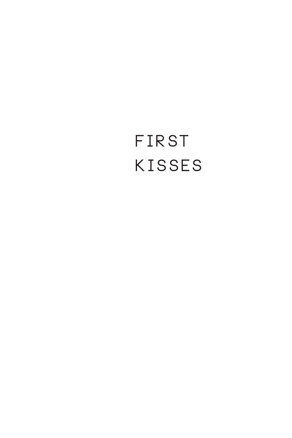# FIRST KISSES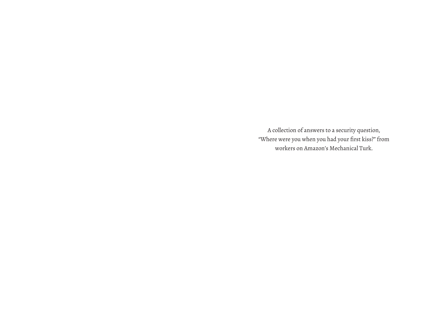A collection of answers to a security question, "Where were you when you had your first kiss?" from workers on Amazon's Mechanical Turk.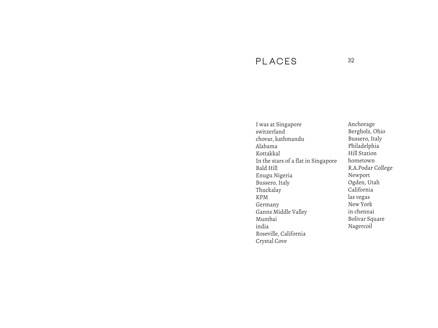### **PLACES <sup>32</sup>**

I was at Singapore switzerland chovar, kathmandu Alabama Kottakkal In the stars of a flat in Singapore Bald Hill Enugu Nigeria Bussero, Italy Thuckalay KPM Germany Ganns Middle Valley Mumbai india Roseville, California Crystal Cove

Anchorage Bergholz, Ohio Bussero, Italy Philadelphia Hill Station hometown R.A.Podar College Newport Ogden, Utah California las vegas New York in chennai Bolivar Square Nagercoil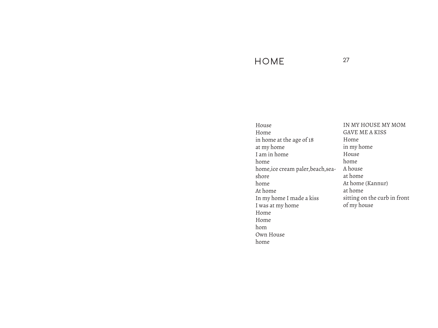### **HOME <sup>27</sup>**

House Home in home at the age of 18 at my home I am in home home home,ice cream paler,beach,seashore home At home In my home I made a kiss I was at my home Home Home hom Own House home

IN MY HOUSE MY MOM GAVE ME A KISS Home in my home House home A house at home At home (Kannur) at home sitting on the curb in front of my house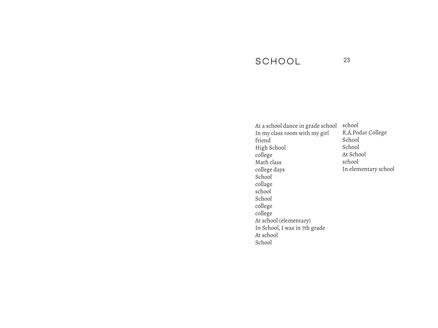### **SCHOOL <sup>23</sup>**

At a school dance in grade school In my class room with my girl friend High School college Math class college days School collage school School college college At school (elementary) In School, I was in 7th grade At school School

school R.A.Podar College School School At School school In elementary school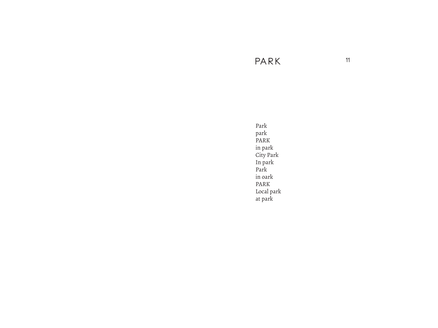**PA R K <sup>11</sup>**

Park park PARK in park City Park In park Park in oark PARK Local park at park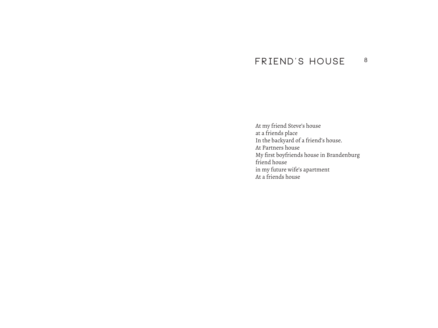### **FRIEND'S HOUSE <sup>8</sup>**

At my friend Steve's house at a friends place In the backyard of a friend's house. At Partners house My first boyfriends house in Brandenburg friend house in my future wife's apartment At a friends house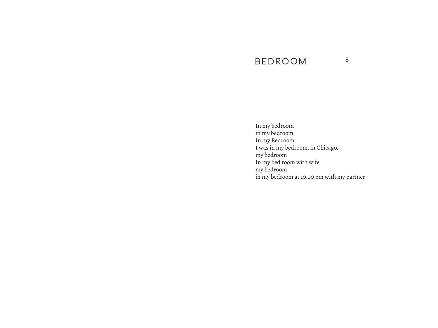### **BEDROOM <sup>8</sup>**

In my bedroom in my bedroom In my Bedroom I was in my bedroom, in Chicago. my bedroom In my bed room with wife my bedroom in my bedroom at 10.00 pm with my partner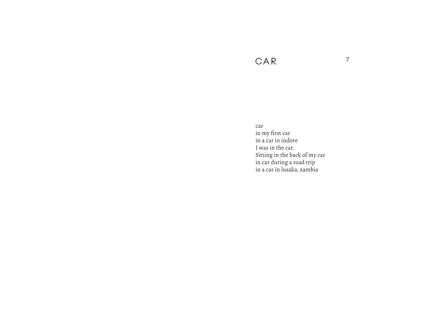### CAR

car in my first car in a car in indore I was in the car. Sitting in the back of my car in car during a road trip<br>in a car in lusaka, zambia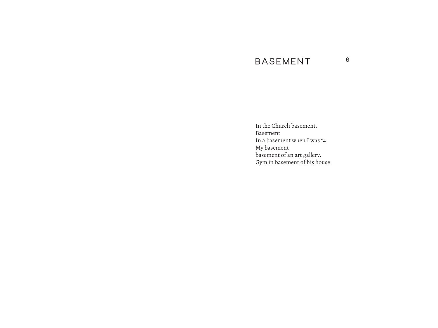### **BASEMENT <sup>6</sup>**

In the Church basement. Basement In a basement when I was 14 My basement basement of an art gallery. Gym in basement of his house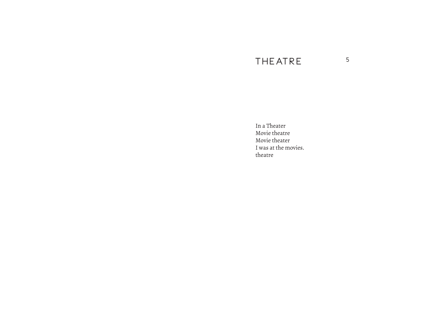## THE ATRE 5

In a Theater Movie theatre Movie theater I was at the movies. theatre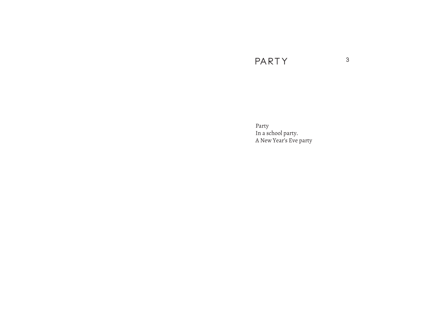## **PA RT Y <sup>3</sup>**

Party In a school party. A New Year's Eve party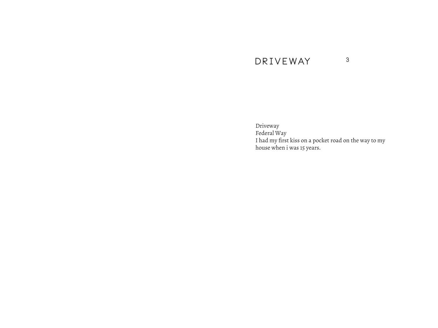### **D R I V EWAY <sup>3</sup>**

Driveway Federal Way I had my first kiss on a pocket road on the way to my house when i was 15 years.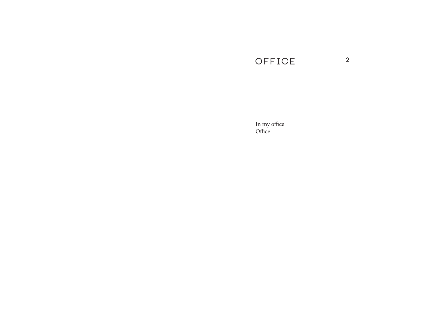## **OFFICE <sup>2</sup>**

In my office Office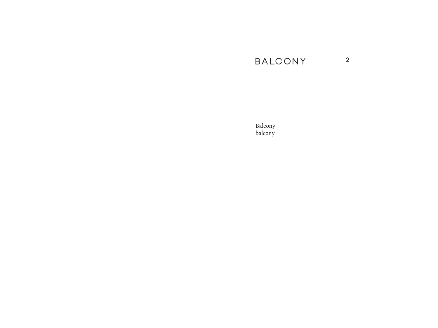## **BALCONY <sup>2</sup>**

Balcony balcony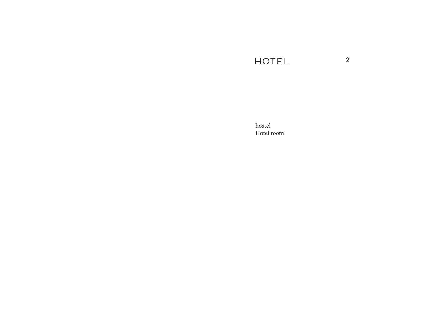## **HOTEL <sup>2</sup>**

hostel Hotel room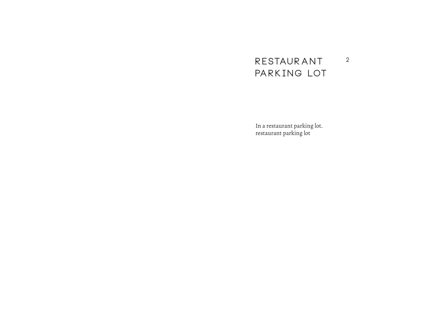#### **RESTAURANT** PARK ING LOT **2**

In a restaurant parking lot. restaurant parking lot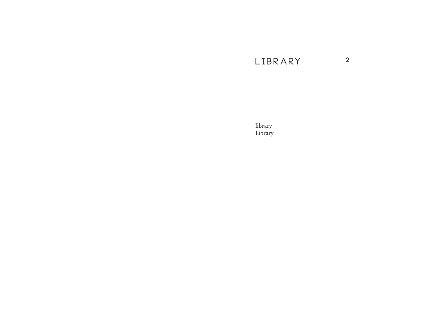## **LIBRARY <sup>2</sup>**

library Library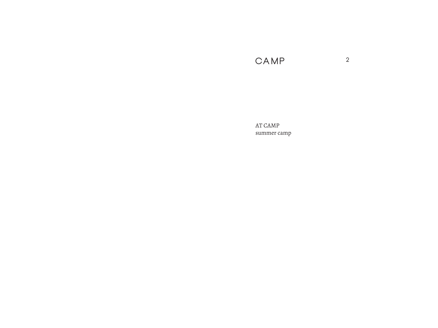**CAMP <sup>2</sup>**

AT CAMP summer camp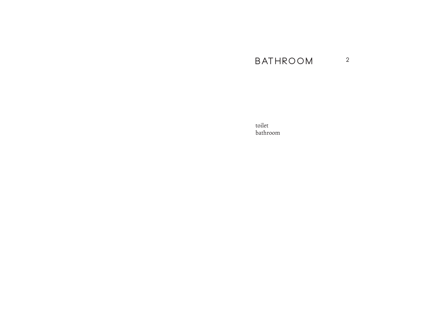#### **BATHROOM**  $\overline{2}$

toilet bathroom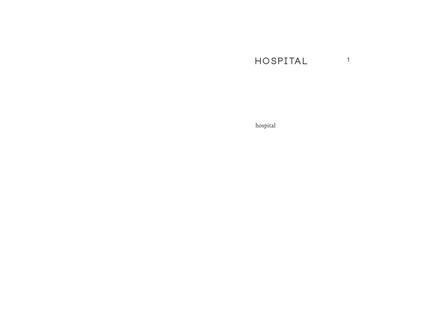#### HOSPITAL  $\overline{1}$

 $\operatorname{hospital}$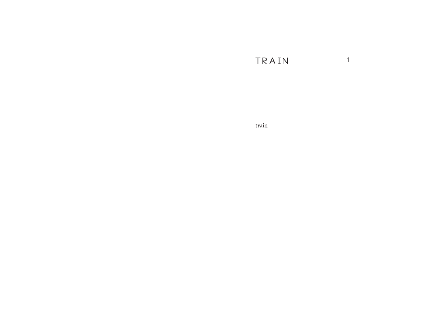TRAIN  $\overline{1}$ 

train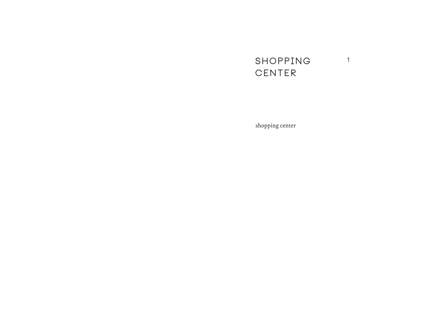#### **SHOPPING CENTER 1**

shopping center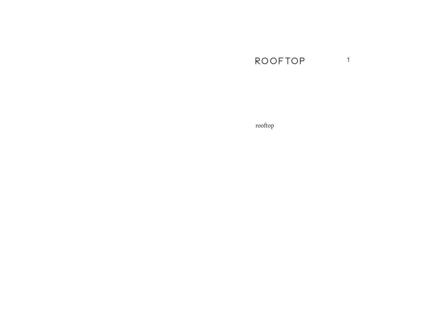## **ROOFTOP <sup>1</sup>**

rooftop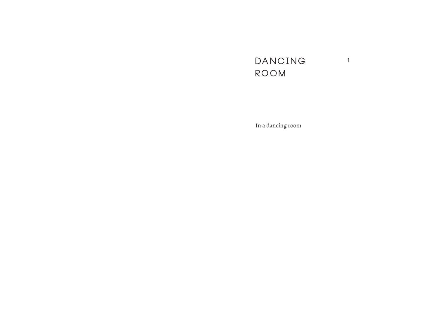#### **DANCING ROOM 1**

In a dancing room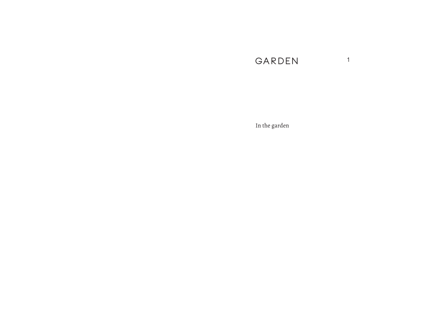## **GARDEN <sup>1</sup>**

In the garden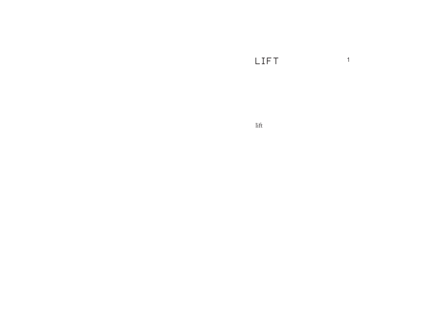LIFT  $\overline{1}$ 

 $_{\mathrm{lift}}$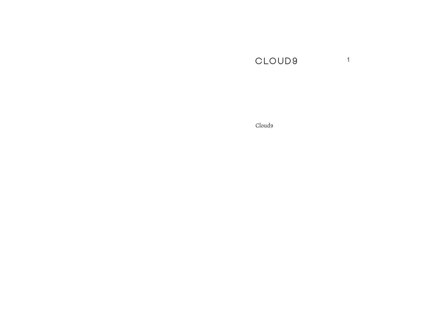#### CLOUD9  $\overline{1}$

Cloud9